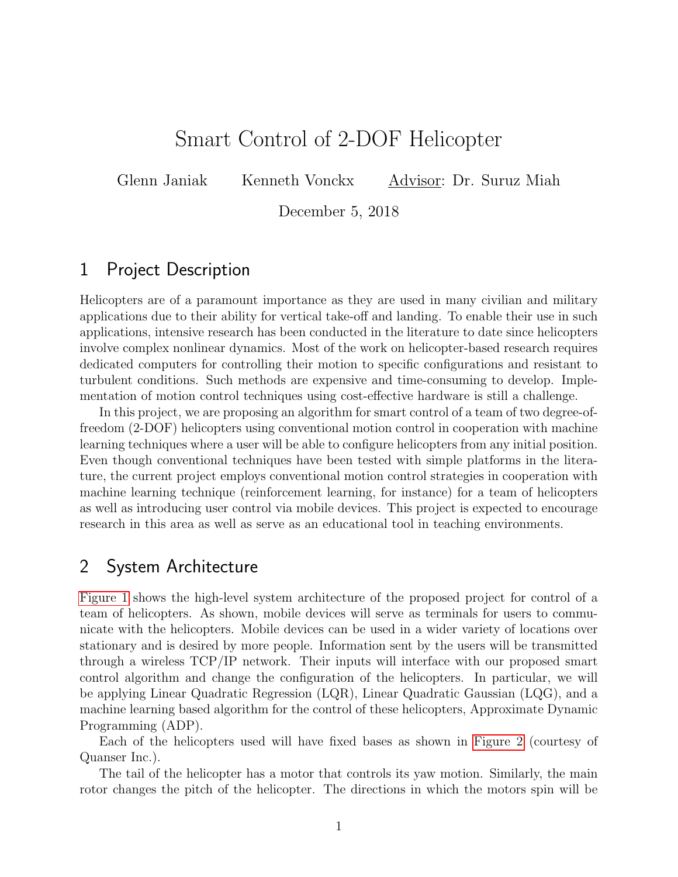## Smart Control of 2-DOF Helicopter

Glenn Janiak Kenneth Vonckx Advisor: Dr. Suruz Miah

December 5, 2018

## 1 Project Description

Helicopters are of a paramount importance as they are used in many civilian and military applications due to their ability for vertical take-off and landing. To enable their use in such applications, intensive research has been conducted in the literature to date since helicopters involve complex nonlinear dynamics. Most of the work on helicopter-based research requires dedicated computers for controlling their motion to specific configurations and resistant to turbulent conditions. Such methods are expensive and time-consuming to develop. Implementation of motion control techniques using cost-effective hardware is still a challenge.

In this project, we are proposing an algorithm for smart control of a team of two degree-offreedom (2-DOF) helicopters using conventional motion control in cooperation with machine learning techniques where a user will be able to configure helicopters from any initial position. Even though conventional techniques have been tested with simple platforms in the literature, the current project employs conventional motion control strategies in cooperation with machine learning technique (reinforcement learning, for instance) for a team of helicopters as well as introducing user control via mobile devices. This project is expected to encourage research in this area as well as serve as an educational tool in teaching environments.

## 2 System Architecture

[Figure 1](#page-1-0) shows the high-level system architecture of the proposed project for control of a team of helicopters. As shown, mobile devices will serve as terminals for users to communicate with the helicopters. Mobile devices can be used in a wider variety of locations over stationary and is desired by more people. Information sent by the users will be transmitted through a wireless TCP/IP network. Their inputs will interface with our proposed smart control algorithm and change the configuration of the helicopters. In particular, we will be applying Linear Quadratic Regression (LQR), Linear Quadratic Gaussian (LQG), and a machine learning based algorithm for the control of these helicopters, Approximate Dynamic Programming (ADP).

Each of the helicopters used will have fixed bases as shown in [Figure 2](#page-1-1) (courtesy of Quanser Inc.).

The tail of the helicopter has a motor that controls its yaw motion. Similarly, the main rotor changes the pitch of the helicopter. The directions in which the motors spin will be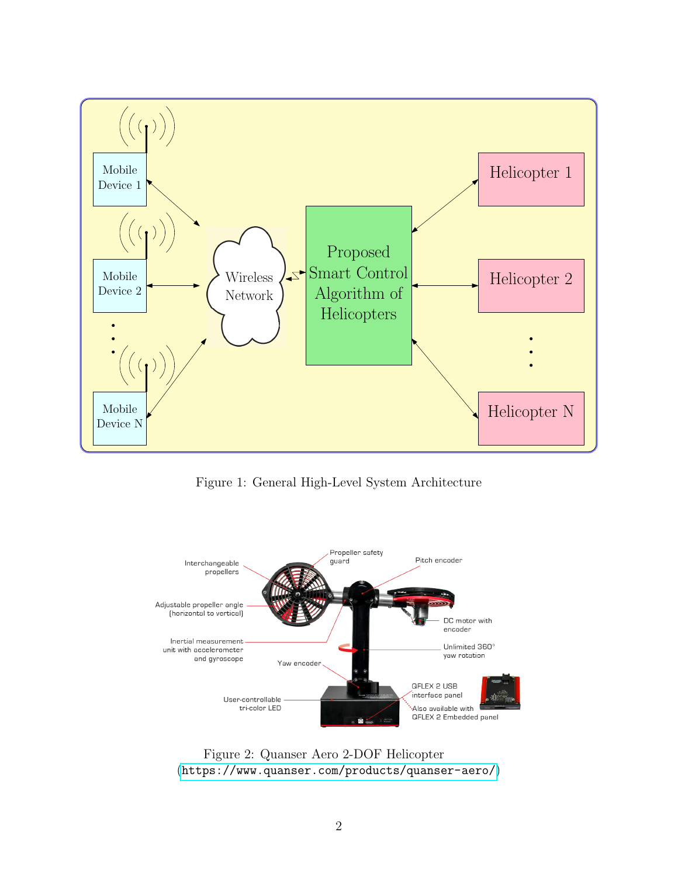<span id="page-1-0"></span>

Figure 1: General High-Level System Architecture

<span id="page-1-1"></span>

Figure 2: Quanser Aero 2-DOF Helicopter (<https://www.quanser.com/products/quanser-aero/>)